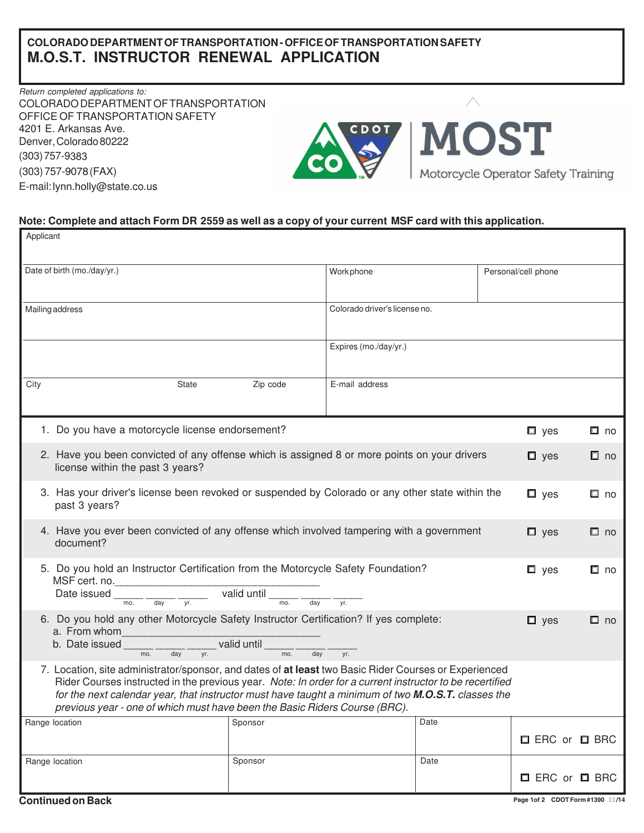## **COLORADO DEPARTMENT OF TRANSPORTATION - OFFICE OF TRANSPORTATION SAFETY M.O.S.T. INSTRUCTOR RENEWAL APPLICATION**

Return completed applications to: COLORADO DEPARTMENT OF TRANSPORTATION OFFICE OF TRANSPORTATION SAFETY 4201 E. Arkansas Ave. Denver, Colorado 80222 (303) 757-9 383(303) 757-9078 (FAX) E-mail: lynn.holly@state.co.us



## **Note: Complete and attach Form DR 2559 as well as a copy of your current MSF card with this application.**

| Applicant                                                                                                                                                                                                                                                                                                                                                                                                                                                                                                                                            |          |                               |      |                     |                |           |  |
|------------------------------------------------------------------------------------------------------------------------------------------------------------------------------------------------------------------------------------------------------------------------------------------------------------------------------------------------------------------------------------------------------------------------------------------------------------------------------------------------------------------------------------------------------|----------|-------------------------------|------|---------------------|----------------|-----------|--|
| Date of birth (mo./day/yr.)                                                                                                                                                                                                                                                                                                                                                                                                                                                                                                                          |          | Work phone                    |      | Personal/cell phone |                |           |  |
| Mailing address                                                                                                                                                                                                                                                                                                                                                                                                                                                                                                                                      |          | Colorado driver's license no. |      |                     |                |           |  |
|                                                                                                                                                                                                                                                                                                                                                                                                                                                                                                                                                      |          | Expires (mo./day/yr.)         |      |                     |                |           |  |
| City<br>State                                                                                                                                                                                                                                                                                                                                                                                                                                                                                                                                        | Zip code | E-mail address                |      |                     |                |           |  |
| 1. Do you have a motorcycle license endorsement?                                                                                                                                                                                                                                                                                                                                                                                                                                                                                                     |          |                               |      |                     | $\square$ yes  | $\Box$ no |  |
| 2. Have you been convicted of any offense which is assigned 8 or more points on your drivers<br>license within the past 3 years?                                                                                                                                                                                                                                                                                                                                                                                                                     |          |                               |      |                     | $\square$ yes  | $\Box$ no |  |
| 3. Has your driver's license been revoked or suspended by Colorado or any other state within the<br>past 3 years?                                                                                                                                                                                                                                                                                                                                                                                                                                    |          |                               |      |                     |                | □ no      |  |
| 4. Have you ever been convicted of any offense which involved tampering with a government<br>document?                                                                                                                                                                                                                                                                                                                                                                                                                                               |          |                               |      |                     |                | $\Box$ no |  |
| 5. Do you hold an Instructor Certification from the Motorcycle Safety Foundation?<br>MSF cert. no. _______________________<br>Date issued $\frac{1}{\frac{1}{\sqrt{1-\frac{1}{\sqrt{1-\frac{1}{\sqrt{1-\frac{1}{\sqrt{1-\frac{1}{\sqrt{1-\frac{1}{\sqrt{1-\frac{1}{\sqrt{1-\frac{1}{\sqrt{1-\frac{1}{\sqrt{1-\frac{1}{\sqrt{1-\frac{1}{\sqrt{1-\frac{1}{\sqrt{1-\frac{1}{\sqrt{1-\frac{1}{\sqrt{1-\frac{1}{\sqrt{1-\frac{1}{\sqrt{1-\frac{1}{\sqrt{1-\frac{1}{\sqrt{1-\frac{1}{\sqrt{1-\frac{1}{\sqrt{1-\frac{1}{\sqrt{1-\frac{1}{\sqrt{1-\frac{1}{$ |          |                               |      |                     | $\square$ yes  | $\Box$ no |  |
| 6. Do you hold any other Motorcycle Safety Instructor Certification? If yes complete:<br>a. From whom<br>b. Date issued $\frac{1}{\sqrt{1-\frac{1}{m}}\sqrt{1-\frac{1}{m}}}}$ valid until $\frac{1}{\sqrt{1-\frac{1}{m}}\sqrt{1-\frac{1}{m}}}}$                                                                                                                                                                                                                                                                                                      |          |                               |      |                     | $\square$ yes  | $\Box$ no |  |
| 7. Location, site administrator/sponsor, and dates of at least two Basic Rider Courses or Experienced<br>Rider Courses instructed in the previous year. Note: In order for a current instructor to be recertified<br>for the next calendar year, that instructor must have taught a minimum of two M.O.S.T. classes the<br>previous year - one of which must have been the Basic Riders Course (BRC).                                                                                                                                                |          |                               |      |                     |                |           |  |
| Range location                                                                                                                                                                                                                                                                                                                                                                                                                                                                                                                                       | Sponsor  |                               | Date |                     | □ ERC or □ BRC |           |  |
| Range location                                                                                                                                                                                                                                                                                                                                                                                                                                                                                                                                       | Sponsor  |                               | Date |                     | □ ERC or □ BRC |           |  |

٦